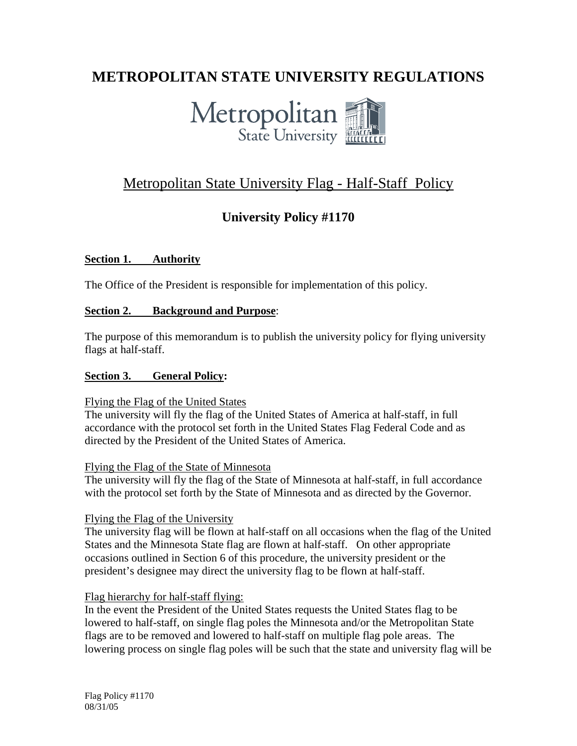# **METROPOLITAN STATE UNIVERSITY REGULATIONS**



# Metropolitan State University Flag - Half-Staff Policy

### **University Policy #1170**

#### **Section 1. Authority**

The Office of the President is responsible for implementation of this policy.

#### **Section 2. Background and Purpose**:

The purpose of this memorandum is to publish the university policy for flying university flags at half-staff.

#### **Section 3. General Policy:**

#### Flying the Flag of the United States

The university will fly the flag of the United States of America at half-staff, in full accordance with the protocol set forth in the United States Flag Federal Code and as directed by the President of the United States of America.

#### Flying the Flag of the State of Minnesota

The university will fly the flag of the State of Minnesota at half-staff, in full accordance with the protocol set forth by the State of Minnesota and as directed by the Governor.

#### Flying the Flag of the University

The university flag will be flown at half-staff on all occasions when the flag of the United States and the Minnesota State flag are flown at half-staff. On other appropriate occasions outlined in Section 6 of this procedure, the university president or the president's designee may direct the university flag to be flown at half-staff.

#### Flag hierarchy for half-staff flying:

In the event the President of the United States requests the United States flag to be lowered to half-staff, on single flag poles the Minnesota and/or the Metropolitan State flags are to be removed and lowered to half-staff on multiple flag pole areas. The lowering process on single flag poles will be such that the state and university flag will be